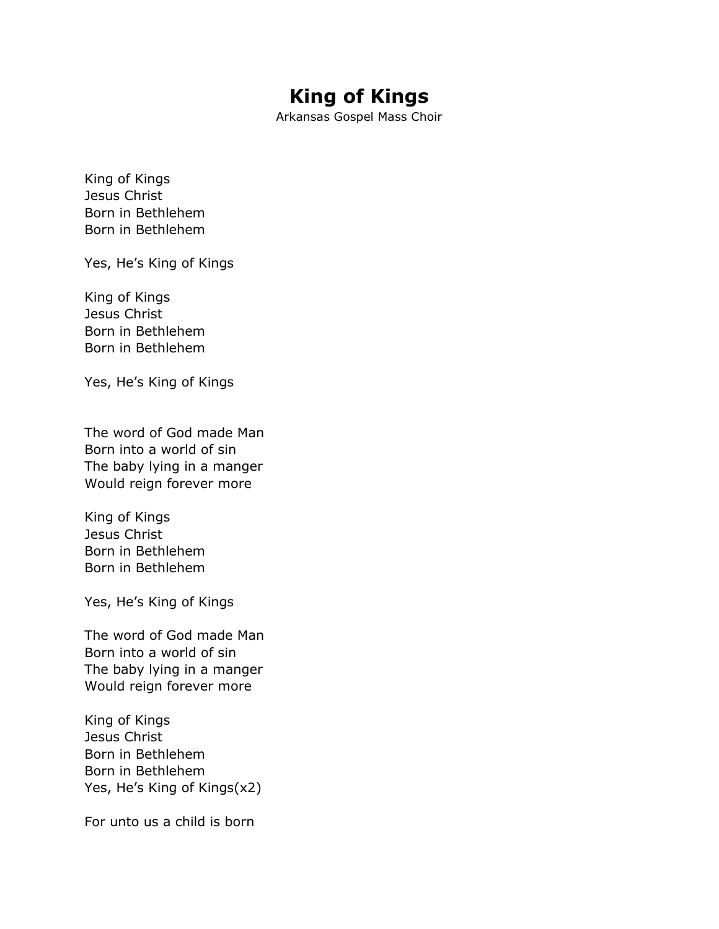## **King of Kings**

Arkansas Gospel Mass Choir

King of Kings Jesus Christ Born in Bethlehem Born in Bethlehem

Yes, He's King of Kings

King of Kings Jesus Christ Born in Bethlehem Born in Bethlehem

Yes, He's King of Kings

The word of God made Man Born into a world of sin The baby lying in a manger Would reign forever more

King of Kings Jesus Christ Born in Bethlehem Born in Bethlehem

Yes, He's King of Kings

The word of God made Man Born into a world of sin The baby lying in a manger Would reign forever more

King of Kings Jesus Christ Born in Bethlehem Born in Bethlehem Yes, He's King of Kings(x2)

For unto us a child is born